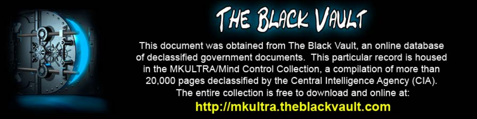

This document was obtained from The Black Vault, an online database of declassified government documents. This particular record is housed in the MKULTRA/Mind Control Collection, a compilation of more than 20,000 pages declassified by the Central Intelligence Agency (CIA). The entire collection is free to download and online at: http://mkultra.theblackvault.com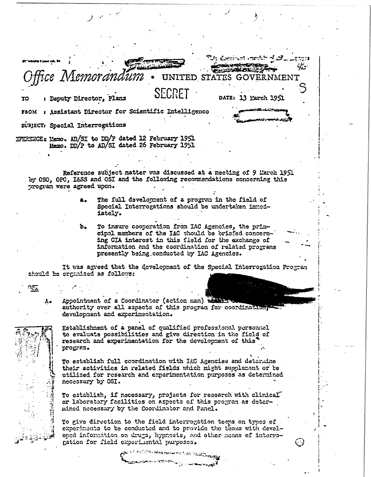is decorrent engelshoof, erre <del>⋼౽౽ఄ౽౽౾౷౷౻౷</del>౽౹౸ౚ౸ <u>יה אי</u> **With 25 200 25 Kill** Nemorandum UNITED STATES GOVERNMENT SECRET DATE: 13 March 1951 : Deputy Director, Plans TO FROM : Assistant Director for Scientific Intelligenco SUBJECT: Spacial Interrogations IFERENCE: Memo. AD/SI to DD/P dated 12 February 1951 Memo. DD/P to AD/SI dated 26 February 1951 Reference subject matter was discussed at a meeting of 9 March 1951 by OSO, OPC, I&SS and OSI and the following recommendations concerning this program were agreed upon. The full development of a program in the field of  $a_{\bullet}$ Special Interrogations should be undertaken immediately. To insure cooperation from IAC Agencies, the prinb. cipal members of the IAC should be briefed concerning CIA interest in this field for the exchange of information and the coordination of related programs presently being conducted by IAC Agencies. It was agreed that the development of the Special Interrogation Program should be organized as follows: ు౾≖ Appointment of a Coordinator (action man) where A. authority over all aspects of this program for coordinations development and experimentation. Establishment of a panel of qualified professional personnel to evaluate possibilities and give direction in the field of research and experimentation for the development of this program. To establish full coordination with IAC Agencies and determine their activities in related fields which might supplement or be utilized for research and experimentation purposes as determined necessary by OSI. To establish, if necessary, projects for research with clinical or laboratory facilities on aspects of this program as determined necessary by the Coordinator and Panel. To give direction to the field interrogation teeps on types of

experiments to be conducted and to provide the teams with developed information on drugs, hypnosis, and other means of interrogation for field experimental purposes.

المحاربي والمروم وسأملح يحافظه والتاريخ المتحارث كالحجم المالي المستعمر المستقلة المستورد المستورد المستقل المستعمر المستعمر المستعمر المستعمر المستعمر المستعمر المستعمر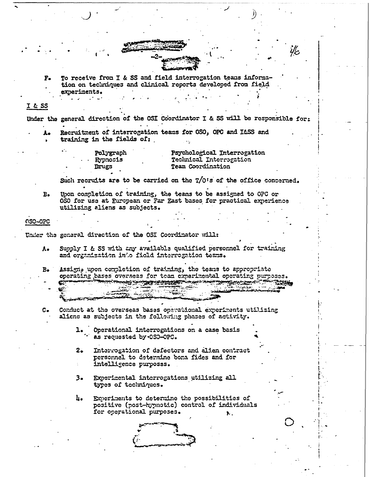To receive from I & SS and field interrogation teams informa- $F_{\bullet}$ tion on techniques and clinical reports developed from field experiments.

## $I$  & SS

Under the general direction of the OSI Coordinator I & SS will be responsible for:

i/c

Recruitment of interrogation teams for OSO, OPC and I&SS and training in the fields of:

| Polygraph    | Psychological Interrogation |
|--------------|-----------------------------|
| . . Hypnosis | Technical Interrogation     |
| Drugs        | <b>Team Coordination</b>    |

Such recruits are to be carried on the T/O's of the office concerned.

Upon completion of training, the teams to be assigned to OPC or  $B<sub>o</sub>$ 050 for use at European or Far East bases for practical experience utilizing aliens as subjects.

## 0SO-OPC

Under the general direction of the OSI Coordinator will:

- Supply I & SS with any available qualified personnel for training  $A$ and organization into field interregation teams.
- Assign, upon completion of training, the teans to appropriate  $B_{\bullet}$ operating bases overseas for team experimental operating purposes. **NES STATES TO A STATE OF THE STATE OF THE CASE OF THE STATE OF THE STATE OF THE STATE OF THE STATE OF THE STATE**
- Conduct at the overseas bases operational experiments utilizing  $\mathbf{C}$ . aliens as subjects in the following phases of activity.
	- Operational interrogations on a case basis ı. as requested by OSO-OPC.
	- $2.$ Interrogation of defectors and alien contract personnel to determine bona fides and for intelligence purposss.
	- 3. Experimental interrogations utilizing all types of techniques.
	- $\mathbf{h}_{\bullet}$ Experiments to determine the possibilities of positive (post-hypnotic) control of individuals for operational purposes.